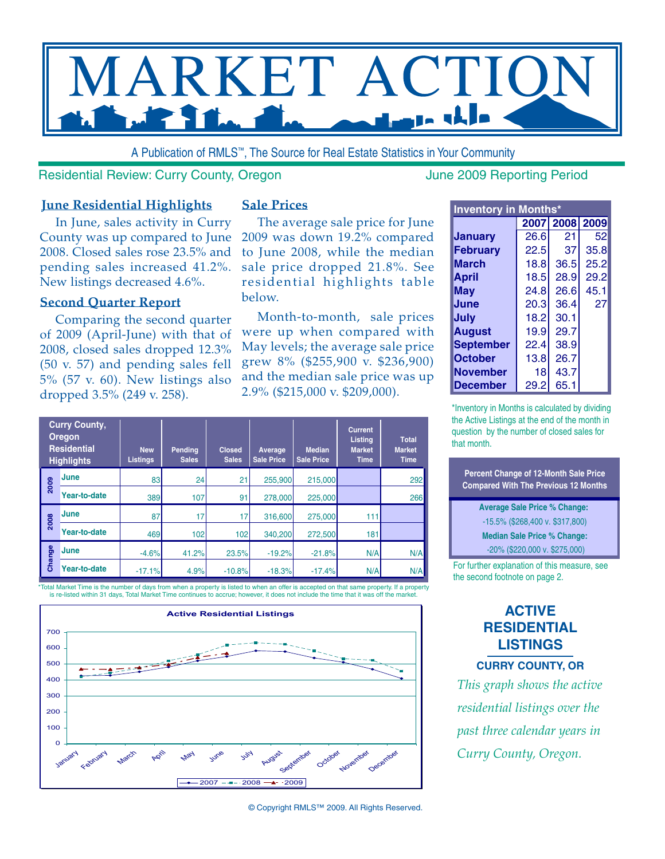

A Publication of RMLS™, The Source for Real Estate Statistics in Your Community

### Residential Review: Curry County, Oregon June 2009 Reporting Period

### **June Residential Highlights**

In June, sales activity in Curry County was up compared to June 2008. Closed sales rose 23.5% and pending sales increased 41.2%. New listings decreased 4.6%.

### **Second Quarter Report**

Comparing the second quarter of 2009 (April-June) with that of 2008, closed sales dropped 12.3% (50 v. 57) and pending sales fell 5% (57 v. 60). New listings also dropped 3.5% (249 v. 258).

### **Sale Prices**

The average sale price for June 2009 was down 19.2% compared to June 2008, while the median sale price dropped 21.8%. See residential highlights table below.

Month-to-month, sale prices were up when compared with May levels; the average sale price grew 8% (\$255,900 v. \$236,900) and the median sale price was up 2.9% (\$215,000 v. \$209,000).

|        | <b>Curry County,</b><br><b>Oregon</b><br><b>Residential</b><br><b>Highlights</b> | <b>New</b><br><b>Listings</b> | <b>Pending</b><br><b>Sales</b> | <b>Closed</b><br><b>Sales</b> | Average<br><b>Sale Price</b> | <b>Median</b><br><b>Sale Price</b> | <b>Current</b><br><b>Listing</b><br><b>Market</b><br><b>Time</b> | <b>Total</b><br><b>Market</b><br><b>Time</b> |  |
|--------|----------------------------------------------------------------------------------|-------------------------------|--------------------------------|-------------------------------|------------------------------|------------------------------------|------------------------------------------------------------------|----------------------------------------------|--|
| 2009   | <b>June</b>                                                                      | 83                            | 24                             | 21                            | 255,900                      | 215,000                            |                                                                  | 292                                          |  |
|        | Year-to-date                                                                     | 389                           | 107                            | 91                            | 278,000                      | 225,000                            |                                                                  | 266                                          |  |
| 2008   | <b>June</b>                                                                      | 87                            | 17                             | 17                            | 316,600                      | 275,000                            | 111                                                              |                                              |  |
|        | Year-to-date                                                                     | 469                           | 102                            | 102                           | 340,200                      | 272,500                            | 181                                                              |                                              |  |
| Change | <b>June</b>                                                                      | $-4.6%$                       | 41.2%                          | 23.5%                         | $-19.2%$                     | $-21.8%$                           | N/A                                                              | N/A                                          |  |
|        | Year-to-date                                                                     | $-17.1%$                      | 4.9%                           | $-10.8%$                      | $-18.3%$                     | $-17.4%$                           | N/A                                                              | N/A                                          |  |

Total Market Time is the number of days from when a property is listed to when an offer is accepted on that same property. If a property is re-listed within 31 days, Total Market Time continues to accrue; however, it does not include the time that it was off the ma



| <b>Inventory in Months*</b> |      |                |      |  |  |  |  |  |  |  |  |
|-----------------------------|------|----------------|------|--|--|--|--|--|--|--|--|
|                             |      | 2007 2008 2009 |      |  |  |  |  |  |  |  |  |
| <b>January</b>              | 26.6 | 21             | 52   |  |  |  |  |  |  |  |  |
| <b>February</b>             | 22.5 | 37             | 35.8 |  |  |  |  |  |  |  |  |
| March                       | 18.8 | 36.5           | 25.2 |  |  |  |  |  |  |  |  |
| April                       | 18.5 | 28.9           | 29.2 |  |  |  |  |  |  |  |  |
| May                         | 24.8 | 26.6           | 45.1 |  |  |  |  |  |  |  |  |
| June                        | 20.3 | 36.4           | 27   |  |  |  |  |  |  |  |  |
| July                        | 18.2 | 30.1           |      |  |  |  |  |  |  |  |  |
| <b>August</b>               | 19.9 | 29.7           |      |  |  |  |  |  |  |  |  |
| <b>September</b>            | 22.4 | 38.9           |      |  |  |  |  |  |  |  |  |
| <b>October</b>              | 13.8 | 26.7           |      |  |  |  |  |  |  |  |  |
| <b>November</b>             | 18   | 43.7           |      |  |  |  |  |  |  |  |  |
| December                    | 29.2 | 65.1           |      |  |  |  |  |  |  |  |  |

\*Inventory in Months is calculated by dividing the Active Listings at the end of the month in question by the number of closed sales for that month.

**Percent Change of 12-Month Sale Price Compared With The Previous 12 Months**

**Average Sale Price % Change:** 

-15.5% (\$268,400 v. \$317,800)

**Median Sale Price % Change:**

-20% (\$220,000 v. \$275,000)

For further explanation of this measure, see the second footnote on page 2.

### **ACTIVE RESIDENTIAL LISTINGS**

**CURRY County, OR**

*This graph shows the active residential listings over the past three calendar years in Curry County, Oregon.*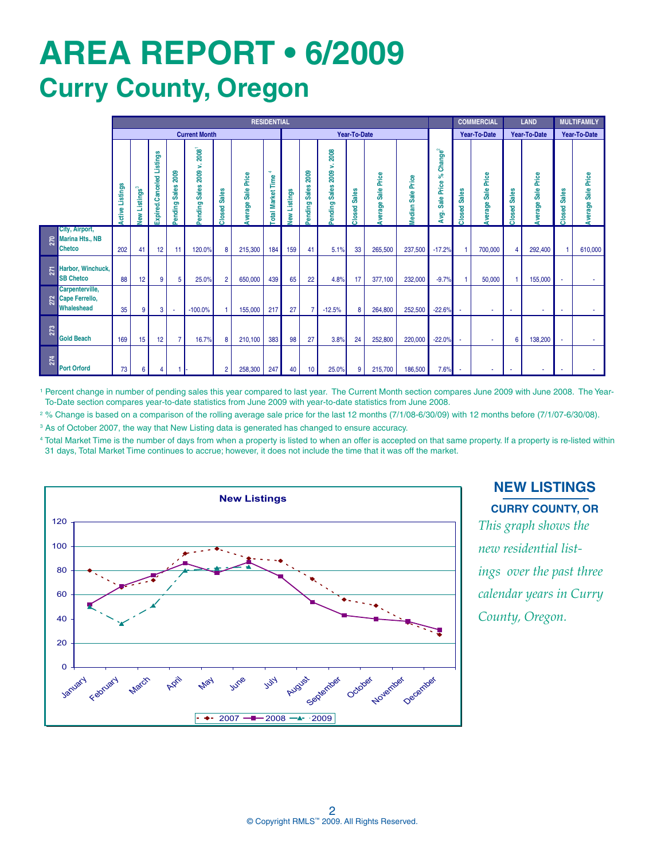# **AREa REPORT • 6/2009 Curry County, Oregon**

|                  |                                                    | <b>RESIDENTIAL</b> |                                    |                                     |                                |                                              |                               |                       |                                          |                 |                                |                                             |                        |                          |                      |                                                                 | <b>COMMERCIAL</b>      | <b>LAND</b>                     |                               | <b>MULTIFAMILY</b>    |                        |                           |
|------------------|----------------------------------------------------|--------------------|------------------------------------|-------------------------------------|--------------------------------|----------------------------------------------|-------------------------------|-----------------------|------------------------------------------|-----------------|--------------------------------|---------------------------------------------|------------------------|--------------------------|----------------------|-----------------------------------------------------------------|------------------------|---------------------------------|-------------------------------|-----------------------|------------------------|---------------------------|
|                  | <b>Current Month</b>                               |                    |                                    |                                     |                                |                                              |                               | <b>Year-To-Date</b>   |                                          |                 |                                |                                             |                        |                          | <b>Year-To-Date</b>  |                                                                 | <b>Year-To-Date</b>    |                                 | Year-To-Date                  |                       |                        |                           |
|                  |                                                    | Listings<br>ctive  | <b>Listings</b> <sup>3</sup><br>We | <b>Listings</b><br>Expired.Canceled | 2009<br><b>Sales</b><br>ending | 2008<br>s<br>2009<br><b>Sales</b><br>Pending | <b>Sales</b><br><b>Closed</b> | Sale Price<br>Average | ÷<br>Time<br>Market <sup>®</sup><br>otal | Listings<br>lew | 2009<br><b>Sales</b><br>ending | 2008<br>2009 v.<br><b>Sales</b><br>Pending: | <b>Sales</b><br>Closed | Price<br>Sale<br>Average | Sale Price<br>Median | Change <sup>2</sup><br>$\aleph$<br>Price<br><b>Sale</b><br>Avg. | <b>Sales</b><br>Closed | Price<br><b>Sale</b><br>Average | <b>Sales</b><br><b>Closed</b> | Sale Price<br>Average | <b>Sales</b><br>Closed | <b>Average Sale Price</b> |
| $\overline{270}$ | City, Airport,<br>Marina Hts., NB<br><b>Chetco</b> | 202                | 41                                 | 12                                  | 11                             | 120.0%                                       | 8                             | 215,300               | 184                                      | 159             | 41                             | 5.1%                                        | 33                     | 265,500                  | 237,500              | $-17.2%$                                                        |                        | 700,000                         | Δ                             | 292,400               |                        | 610,000                   |
| $\overline{271}$ | Harbor, Winchuck,<br><b>SB Chetco</b>              | 88                 | 12 <sup>°</sup>                    | 9                                   | 5                              | 25.0%                                        | $\overline{2}$                | 650,000               | 439                                      | 65              | 22                             | 4.8%                                        | 17                     | 377,100                  | 232,000              | $-9.7%$                                                         |                        | 50,000                          |                               | 155,000               |                        | ٠.                        |
| 272              | Carpenterville,<br>Cape Ferrello,<br>Whaleshead    | 35                 | 9                                  | 3                                   |                                | $-100.0%$                                    |                               | 155,000               | 217                                      | 27              | 7                              | $-12.5%$                                    | 8                      | 264.800                  | 252,500              | $-22.6%$                                                        |                        | ٠                               | ×                             | ٠                     | ٠                      | ×                         |
| 273              | <b>Gold Beach</b>                                  | 169                | 15 <sub>15</sub>                   | 12                                  | $\overline{7}$                 | 16.7%                                        | 8                             | 210,100               | 383                                      | 98              | 27                             | 3.8%                                        | 24                     | 252,800                  | 220,000              | $-22.0%$                                                        |                        |                                 | 6                             | 138,200               |                        |                           |
| 274              | <b>Port Orford</b>                                 | 73                 | 6                                  |                                     |                                |                                              | $\overline{2}$                | 258,300               | 247                                      | 40              | 10 <sup>°</sup>                | 25.0%                                       | 9 <sup>1</sup>         | 215,700                  | 186,500              | 7.6%                                                            |                        |                                 |                               |                       |                        |                           |

<sup>1</sup> Percent change in number of pending sales this year compared to last year. The Current Month section compares June 2009 with June 2008. The Year-To-Date section compares year-to-date statistics from June 2009 with year-to-date statistics from June 2008.

2 % Change is based on a comparison of the rolling average sale price for the last 12 months (7/1/08-6/30/09) with 12 months before (7/1/07-6/30/08).

<sup>3</sup> As of October 2007, the way that New Listing data is generated has changed to ensure accuracy.

4 Total Market Time is the number of days from when a property is listed to when an offer is accepted on that same property. If a property is re-listed within 31 days, Total Market Time continues to accrue; however, it does not include the time that it was off the market.



**NEW LISTINGS CURRY COUNTY, OR** *This graph shows the new residential listings over the past three calendar years in Curry County, Oregon.*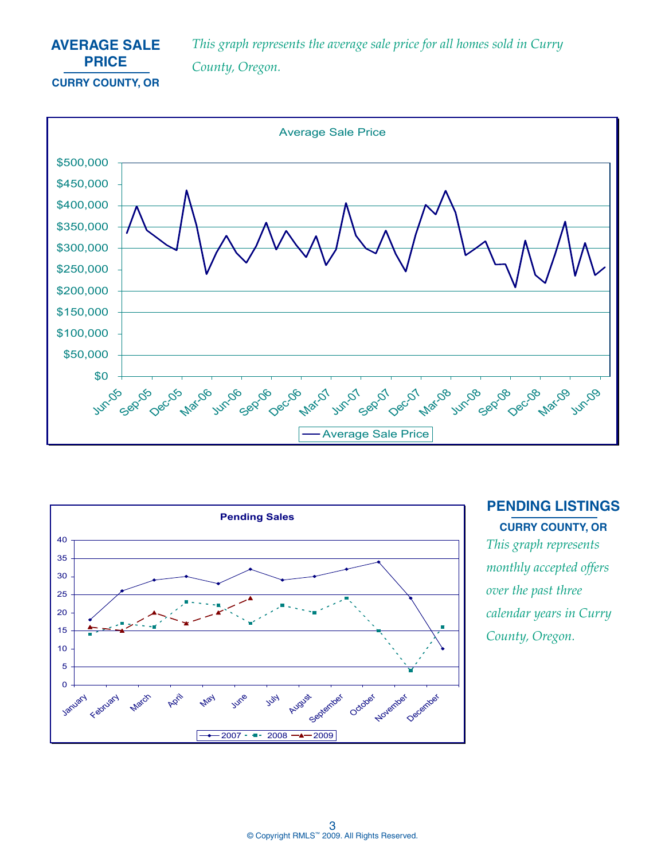### *This graph represents the average sale price for all homes sold in Curry County, Oregon.* **AVERAGE SALE CURRY County, OR**

**PRICE** 





**PENDING LISTINGS CURRY County, OR**

*This graph represents monthly accepted offers over the past three calendar years in Curry County, Oregon.*